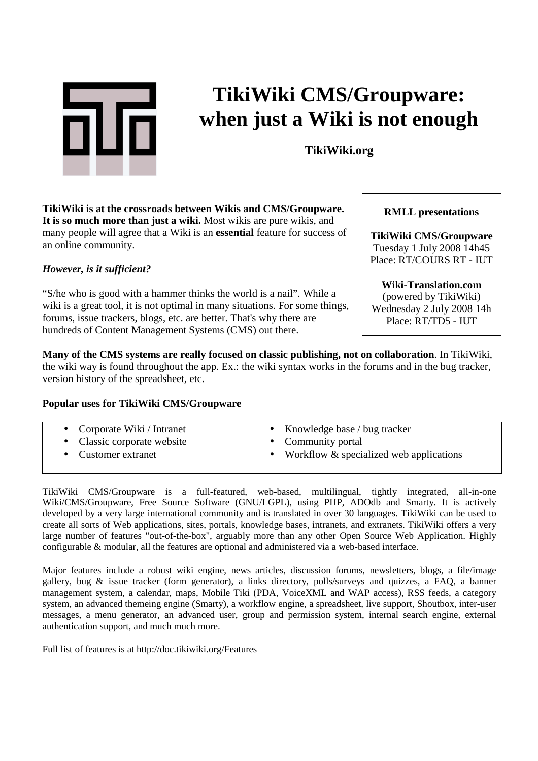

# **TikiWiki CMS/Groupware: when just a Wiki is not enough**

**TikiWiki.org**

**TikiWiki is at the crossroads between Wikis and CMS/Groupware. It is so much more than just a wiki.** Most wikis are pure wikis, and many people will agree that a Wiki is an **essential** feature for success of an online community.

#### *However, is it sufficient?*

"S/he who is good with a hammer thinks the world is a nail". While a wiki is a great tool, it is not optimal in many situations. For some things, forums, issue trackers, blogs, etc. are better. That's why there are hundreds of Content Management Systems (CMS) out there.

**Many of the CMS systems are really focused on classic publishing, not on collaboration**. In TikiWiki, the wiki way is found throughout the app. Ex.: the wiki syntax works in the forums and in the bug tracker, version history of the spreadsheet, etc.

#### **Popular uses for TikiWiki CMS/Groupware**

- Corporate Wiki / Intranet
- Classic corporate website
- Customer extranet
- Knowledge base / bug tracker
- Community portal
- Workflow & specialized web applications

TikiWiki CMS/Groupware is a full-featured, web-based, multilingual, tightly integrated, all-in-one Wiki/CMS/Groupware, Free Source Software (GNU/LGPL), using PHP, ADOdb and Smarty. It is actively developed by a very large international community and is translated in over 30 languages. TikiWiki can be used to create all sorts of Web applications, sites, portals, knowledge bases, intranets, and extranets. TikiWiki offers a very large number of features "out-of-the-box", arguably more than any other Open Source Web Application. Highly configurable & modular, all the features are optional and administered via a web-based interface.

Major features include a robust wiki engine, news articles, discussion forums, newsletters, blogs, a file/image gallery, bug & issue tracker (form generator), a links directory, polls/surveys and quizzes, a FAQ, a banner management system, a calendar, maps, Mobile Tiki (PDA, VoiceXML and WAP access), RSS feeds, a category system, an advanced themeing engine (Smarty), a workflow engine, a spreadsheet, live support, Shoutbox, inter-user messages, a menu generator, an advanced user, group and permission system, internal search engine, external authentication support, and much much more.

Full list of features is at http://doc.tikiwiki.org/Features

#### **RMLL presentations**

**TikiWiki CMS/Groupware**  Tuesday 1 July 2008 14h45 Place: RT/COURS RT - IUT

**Wiki-Translation.com**  (powered by TikiWiki) Wednesday 2 July 2008 14h Place: RT/TD5 - IUT